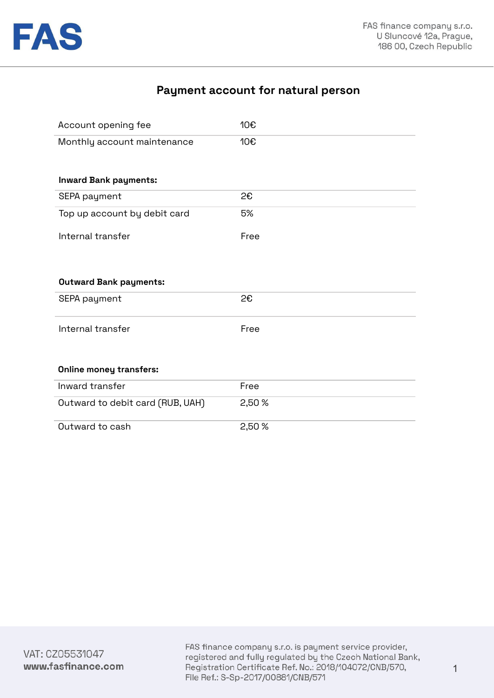

# **Payment account for natural person**

| Account opening fee              | 10€    |
|----------------------------------|--------|
| Monthly account maintenance      | 10€    |
| <b>Inward Bank payments:</b>     |        |
| SEPA payment                     | 2€     |
| Top up account by debit card     | 5%     |
| Internal transfer                | Free   |
|                                  |        |
|                                  |        |
| <b>Outward Bank payments:</b>    |        |
| SEPA payment                     | 2€     |
| Internal transfer                | Free   |
|                                  |        |
| <b>Online money transfers:</b>   |        |
| Inward transfer                  | Free   |
| Outward to debit card (RUB, UAH) | 2,50 % |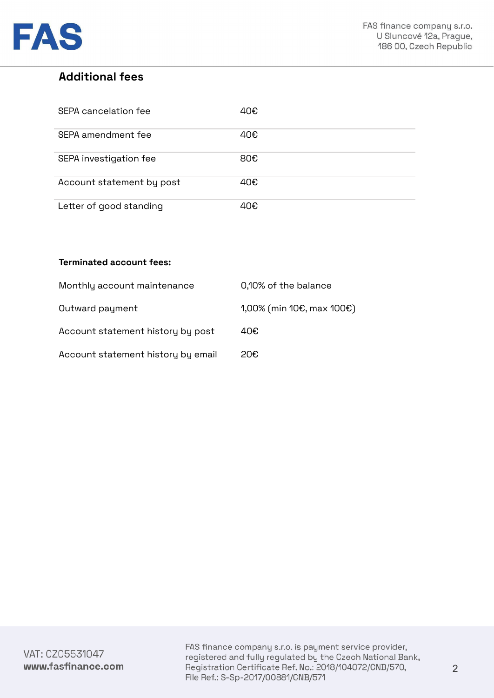

## **Additional fees**

| SEPA cancelation fee      | 40€ |
|---------------------------|-----|
| SEPA amendment fee        | 40€ |
| SEPA investigation fee    | 80€ |
| Account statement by post | 40€ |
| Letter of good standing   | 40€ |

## **Terminated account fees:**

| Monthly account maintenance        | 0,10% of the balance         |
|------------------------------------|------------------------------|
| Outward payment                    | $1,00\%$ (min 10€, max 100€) |
| Account statement history by post  | 40€                          |
| Account statement history by email | 20€                          |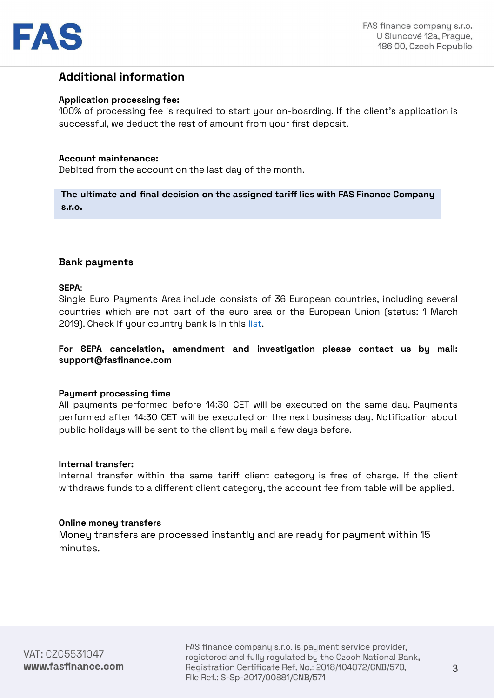

## **Additional information**

#### **Application processing fee:**

100% of processing fee is required to start your on-boarding. If the client's application is successful, we deduct the rest of amount from your first deposit.

#### **Account maintenance:**

Debited from the account on the last day of the month.

**The ultimate and final decision on the assigned tariff lies with FAS Finance Company s.r.o.**

## **Bank payments**

#### **SEPA**:

Single Euro Payments Area include consists of 36 European countries, including several countries which are not part of the euro area or the European Union (status: 1 March 2019). Check if your country bank is in this [list.](https://www.ecb.europa.eu/paym/integration/retail/sepa/html/index.en.html)

## **For SEPA cancelation, amendment and investigation please contact us by mail: support@fasfinance.com**

#### **Payment processing time**

All payments performed before 14:30 CET will be executed on the same day. Payments performed after 14:30 CET will be executed on the next business day. Notification about public holidays will be sent to the client by mail a few days before.

#### **Internal transfer:**

Internal transfer within the same tariff client category is free of charge. If the client withdraws funds to a different client category, the account fee from table will be applied.

## **Online money transfers**

Money transfers are processed instantly and are ready for payment within 15 minutes.

FAS finance company s.r.o. is payment service provider, registered and fully regulated by the Czech National Bank, Registration Certificate Ref. No.: 2018/104072/CNB/570, File Ref.: S-Sp-2017/00881/CNB/571